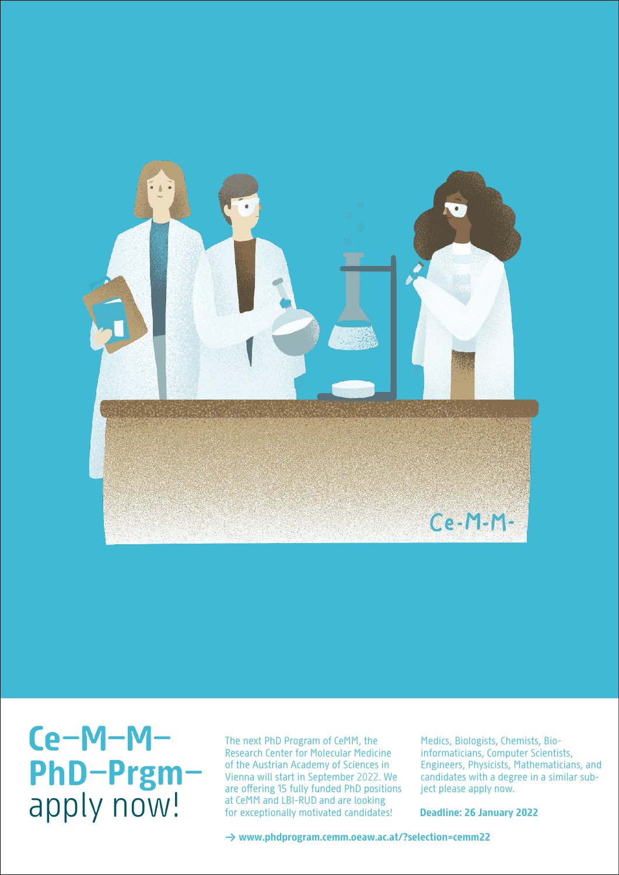

**PhD Prgm** apply now! **PhD Prgm** apply now!

of the Austrian Academy of Sciences in Vienna will start in September 2022. We are offering 15 fully funded PhD positions at CeMM and LBI-RUD and are looking for excentionally motivated candidate at CeMM and  $L$  -RUD and are looking for looking for looking for  $L$ The next PhD Program of CeMM, the Research Center for Molecular Medicine for exceptionally motivated candidates!

Engineers, Physicists, Mathematicians, and candidates with a degree in a similar subject please apply now.  $\mathbf{a}$ Medics, Biologists, Chemists, Bioinformaticians, Computer Scientists,

**Deadline: 26 January 2022** 

→ www.phdprogram.cemm.oeaw.ac.at/?selection=cemm22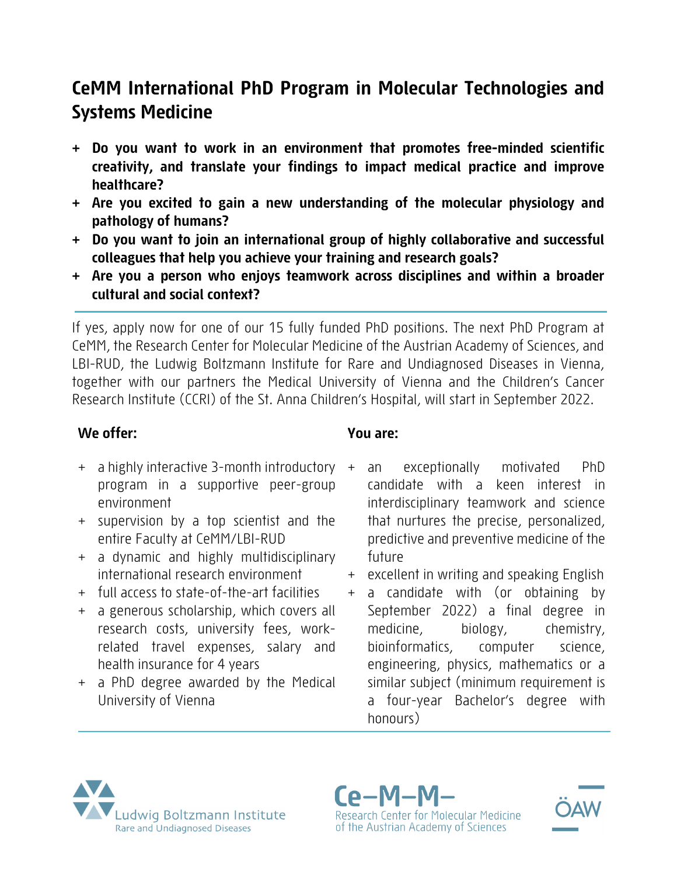# **CeMM International PhD Program in Molecular Technologies and Systems Medicine**

- **+ Do you want to work in an environment that promotes free-minded scientific creativity, and translate your findings to impact medical practice and improve healthcare?**
- **+ Are you excited to gain a new understanding of the molecular physiology and pathology of humans?**
- **+ Do you want to join an international group of highly collaborative and successful colleagues that help you achieve your training and research goals?**
- **+ Are you a person who enjoys teamwork across disciplines and within a broader cultural and social context?**

If yes, apply now for one of our 15 fully funded PhD positions. The next PhD Program at CeMM, the Research Center for Molecular Medicine of the Austrian Academy of Sciences, and LBI-RUD, the Ludwig Boltzmann Institute for Rare and Undiagnosed Diseases in Vienna, together with our partners the Medical University of Vienna and the Children's Cancer Research Institute (CCRI) of the St. Anna Children's Hospital, will start in September 2022.

## **We offer:**

- + a highly interactive 3-month introductory program in a supportive peer-group environment
- + supervision by a top scientist and the entire Faculty at CeMM/LBI-RUD
- + a dynamic and highly multidisciplinary international research environment
- + full access to state-of-the-art facilities
- + a generous scholarship, which covers all research costs, university fees, workrelated travel expenses, salary and health insurance for 4 years
- + a PhD degree awarded by the Medical University of Vienna

## **You are:**

- an exceptionally motivated PhD candidate with a keen interest in interdisciplinary teamwork and science that nurtures the precise, personalized, predictive and preventive medicine of the future
- + excellent in writing and speaking English
- + a candidate with (or obtaining by September 2022) a final degree in medicine, biology, chemistry, bioinformatics, computer science, engineering, physics, mathematics or a similar subject (minimum requirement is a four-year Bachelor's degree with honours)



Research Center for Molecular Medicine of the Austrian Academy of Sciences

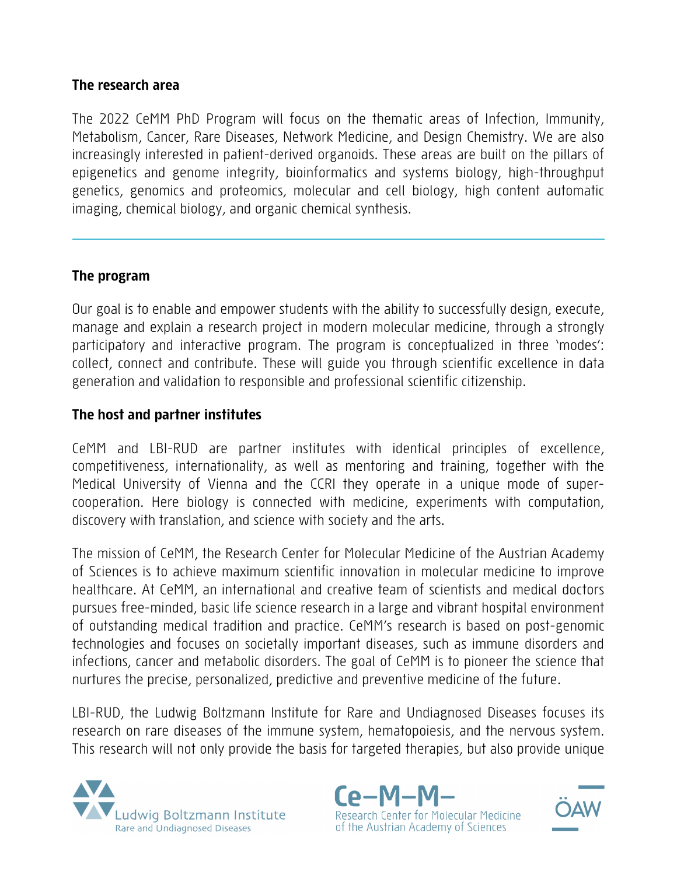#### **The research area**

The 2022 CeMM PhD Program will focus on the thematic areas of Infection, Immunity, Metabolism, Cancer, Rare Diseases, Network Medicine, and Design Chemistry. We are also increasingly interested in patient-derived organoids. These areas are built on the pillars of epigenetics and genome integrity, bioinformatics and systems biology, high-throughput genetics, genomics and proteomics, molecular and cell biology, high content automatic imaging, chemical biology, and organic chemical synthesis.

### **The program**

Our goal is to enable and empower students with the ability to successfully design, execute, manage and explain a research project in modern molecular medicine, through a strongly participatory and interactive program. The program is conceptualized in three 'modes': collect, connect and contribute. These will guide you through scientific excellence in data generation and validation to responsible and professional scientific citizenship.

#### **The host and partner institutes**

CeMM and LBI-RUD are partner institutes with identical principles of excellence, competitiveness, internationality, as well as mentoring and training, together with the Medical University of Vienna and the CCRI they operate in a unique mode of supercooperation. Here biology is connected with medicine, experiments with computation, discovery with translation, and science with society and the arts.

The mission of CeMM, the Research Center for Molecular Medicine of the Austrian Academy of Sciences is to achieve maximum scientific innovation in molecular medicine to improve healthcare. At CeMM, an international and creative team of scientists and medical doctors pursues free-minded, basic life science research in a large and vibrant hospital environment of outstanding medical tradition and practice. CeMM's research is based on post-genomic technologies and focuses on societally important diseases, such as immune disorders and infections, cancer and metabolic disorders. The goal of CeMM is to pioneer the science that nurtures the precise, personalized, predictive and preventive medicine of the future.

LBI-RUD, the Ludwig Boltzmann Institute for Rare and Undiagnosed Diseases focuses its research on rare diseases of the immune system, hematopoiesis, and the nervous system. This research will not only provide the basis for targeted therapies, but also provide unique